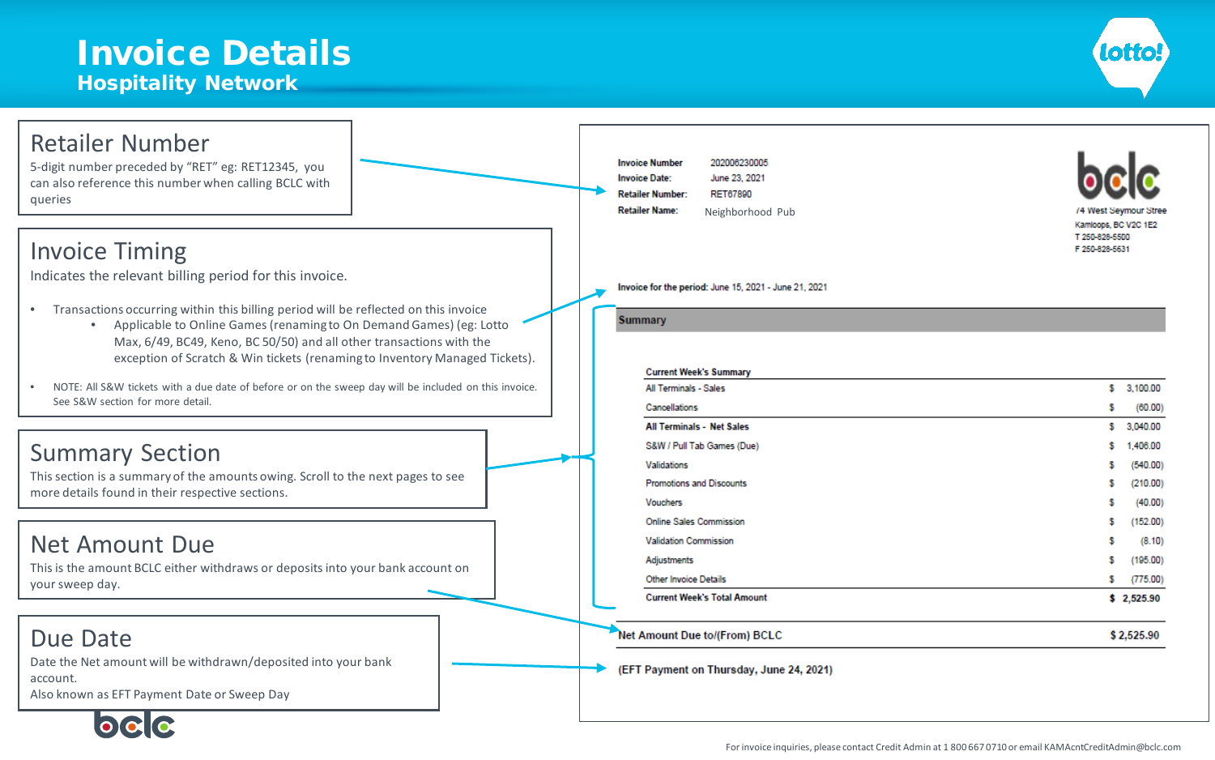### Invoice Details Hospitality Network



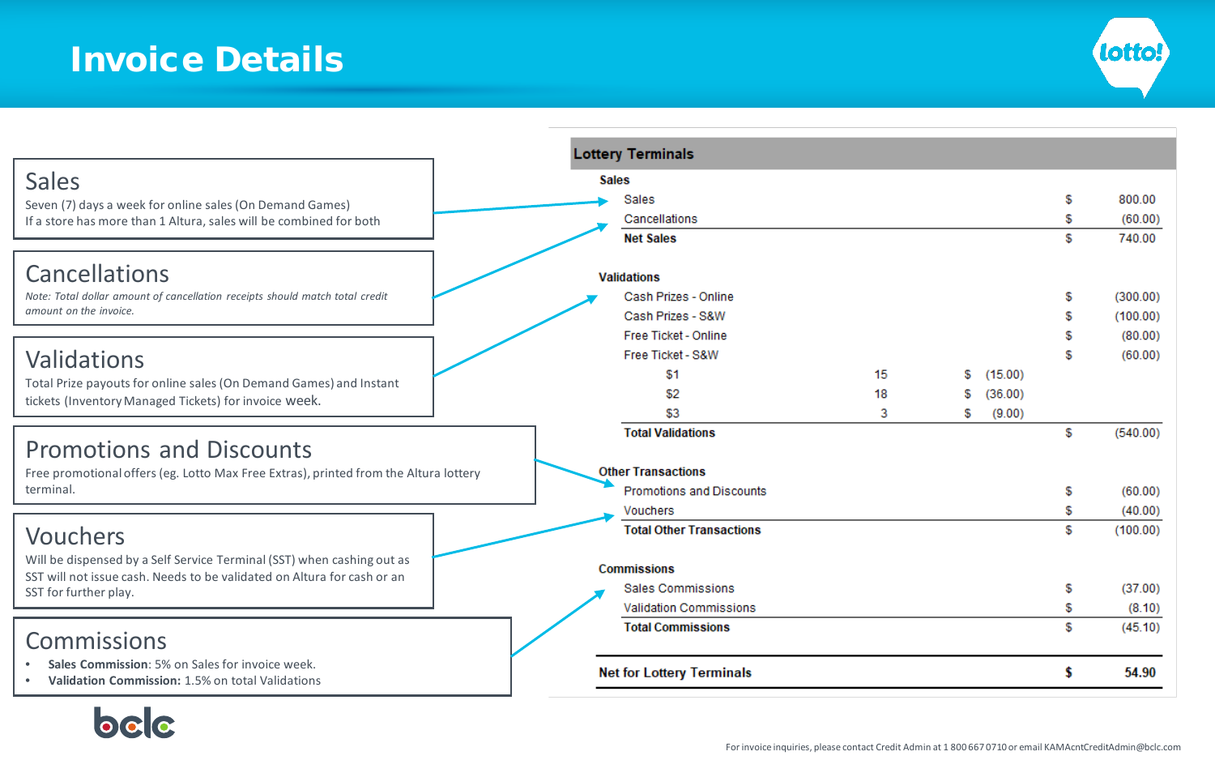

|                                                                                                        |              | <b>Lottery Terminals</b>         |    |    |         |     |          |
|--------------------------------------------------------------------------------------------------------|--------------|----------------------------------|----|----|---------|-----|----------|
| <b>Sales</b>                                                                                           | <b>Sales</b> |                                  |    |    |         |     |          |
| Seven (7) days a week for online sales (On Demand Games)                                               |              | <b>Sales</b>                     |    |    |         | S   | 800.00   |
| If a store has more than 1 Altura, sales will be combined for both                                     |              | Cancellations                    |    |    |         | \$  | (60.00)  |
|                                                                                                        |              | <b>Net Sales</b>                 |    |    |         | \$. | 740.00   |
|                                                                                                        |              |                                  |    |    |         |     |          |
| Cancellations                                                                                          |              | <b>Validations</b>               |    |    |         |     |          |
| Note: Total dollar amount of cancellation receipts should match total credit<br>amount on the invoice. |              | Cash Prizes - Online             |    |    |         | £   | (300.00) |
|                                                                                                        |              | Cash Prizes - S&W                |    |    |         | S.  | (100.00) |
|                                                                                                        |              | Free Ticket - Online             |    |    |         | S   | (80.00)  |
| Validations                                                                                            |              | Free Ticket - S&W                |    |    |         | S   | (60.00)  |
| Total Prize payouts for online sales (On Demand Games) and Instant                                     |              | \$1                              | 15 | S  | (15.00) |     |          |
| tickets (Inventory Managed Tickets) for invoice week.                                                  |              | \$2                              | 18 | \$ | (36.00) |     |          |
|                                                                                                        |              | \$3                              | 3  | S  | (9.00)  |     |          |
| <b>Promotions and Discounts</b>                                                                        |              | <b>Total Validations</b>         |    |    |         | \$  | (540.00) |
|                                                                                                        |              |                                  |    |    |         |     |          |
| Free promotional offers (eg. Lotto Max Free Extras), printed from the Altura lottery                   |              | <b>Other Transactions</b>        |    |    |         |     |          |
| terminal.                                                                                              |              | <b>Promotions and Discounts</b>  |    |    |         | S   | (60.00)  |
|                                                                                                        |              | <b>Vouchers</b>                  |    |    |         | \$  | (40.00)  |
| <b>Vouchers</b>                                                                                        |              | <b>Total Other Transactions</b>  |    |    |         | £.  | (100.00) |
| Will be dispensed by a Self Service Terminal (SST) when cashing out as                                 |              |                                  |    |    |         |     |          |
| SST will not issue cash. Needs to be validated on Altura for cash or an                                |              | <b>Commissions</b>               |    |    |         |     |          |
| SST for further play.                                                                                  |              | <b>Sales Commissions</b>         |    |    |         | \$  | (37.00)  |
|                                                                                                        |              | <b>Validation Commissions</b>    |    |    |         | \$  | (8.10)   |
| Commissions                                                                                            |              | <b>Total Commissions</b>         |    |    |         | \$  | (45.10)  |
|                                                                                                        |              |                                  |    |    |         |     |          |
| Sales Commission: 5% on Sales for invoice week.<br>۰                                                   |              | <b>Net for Lottery Terminals</b> |    |    |         | \$  | 54.90    |
| Validation Commission: 1.5% on total Validations                                                       |              |                                  |    |    |         |     |          |
|                                                                                                        |              |                                  |    |    |         |     |          |
|                                                                                                        |              |                                  |    |    |         |     |          |